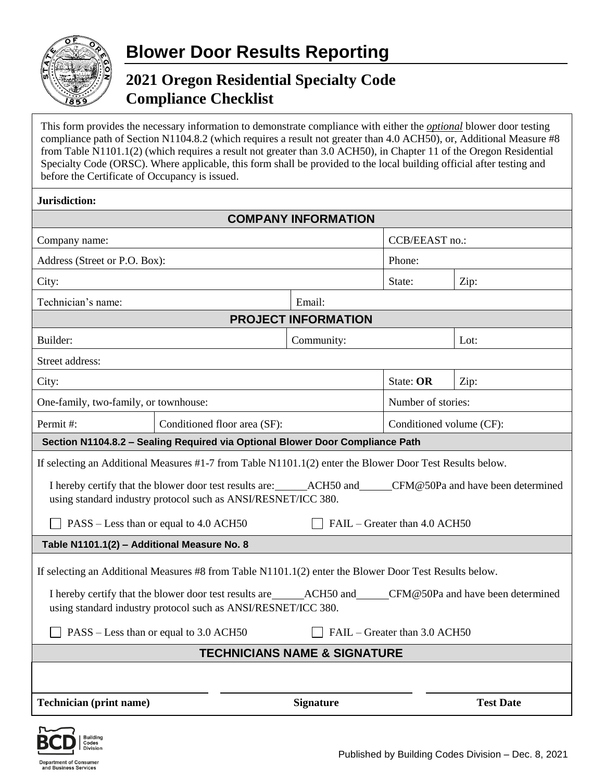

## **2021 Oregon Residential Specialty Code Compliance Checklist**

This form provides the necessary information to demonstrate compliance with either the *optional* blower door testing compliance path of Section N1104.8.2 (which requires a result not greater than 4.0 ACH50), or, Additional Measure #8 from Table N1101.1(2) (which requires a result not greater than 3.0 ACH50), in Chapter 11 of the Oregon Residential Specialty Code (ORSC). Where applicable, this form shall be provided to the local building official after testing and before the Certificate of Occupancy is issued.

ment of Consume **Department of Consume**<br>and Business Services

| <b>COMPANY INFORMATION</b>                                                                                                                                                                                                                                                               |                              |                  |                          |                  |  |
|------------------------------------------------------------------------------------------------------------------------------------------------------------------------------------------------------------------------------------------------------------------------------------------|------------------------------|------------------|--------------------------|------------------|--|
| Company name:                                                                                                                                                                                                                                                                            |                              |                  | CCB/EEAST no.:           |                  |  |
| Address (Street or P.O. Box):                                                                                                                                                                                                                                                            |                              |                  | Phone:                   |                  |  |
| City:                                                                                                                                                                                                                                                                                    |                              |                  | State:                   | Zip:             |  |
| Technician's name:                                                                                                                                                                                                                                                                       |                              | Email:           |                          |                  |  |
| <b>PROJECT INFORMATION</b>                                                                                                                                                                                                                                                               |                              |                  |                          |                  |  |
| Builder:                                                                                                                                                                                                                                                                                 |                              | Community:       |                          | Lot:             |  |
| Street address:                                                                                                                                                                                                                                                                          |                              |                  |                          |                  |  |
| City:                                                                                                                                                                                                                                                                                    |                              |                  | State: OR                | Zip:             |  |
| One-family, two-family, or townhouse:                                                                                                                                                                                                                                                    |                              |                  | Number of stories:       |                  |  |
| Permit#:                                                                                                                                                                                                                                                                                 | Conditioned floor area (SF): |                  | Conditioned volume (CF): |                  |  |
| Section N1104.8.2 - Sealing Required via Optional Blower Door Compliance Path                                                                                                                                                                                                            |                              |                  |                          |                  |  |
| If selecting an Additional Measures #1-7 from Table N1101.1(2) enter the Blower Door Test Results below.                                                                                                                                                                                 |                              |                  |                          |                  |  |
| I hereby certify that the blower door test results are: ACH50 and CFM@50Pa and have been determined<br>using standard industry protocol such as ANSI/RESNET/ICC 380.                                                                                                                     |                              |                  |                          |                  |  |
| FAIL – Greater than 4.0 ACH50<br>PASS – Less than or equal to 4.0 ACH50                                                                                                                                                                                                                  |                              |                  |                          |                  |  |
| Table N1101.1(2) - Additional Measure No. 8                                                                                                                                                                                                                                              |                              |                  |                          |                  |  |
| If selecting an Additional Measures #8 from Table N1101.1(2) enter the Blower Door Test Results below.<br>I hereby certify that the blower door test results are ______ACH50 and _____CFM@50Pa and have been determined<br>using standard industry protocol such as ANSI/RESNET/ICC 380. |                              |                  |                          |                  |  |
| PASS – Less than or equal to 3.0 ACH50<br>FAIL – Greater than 3.0 ACH50                                                                                                                                                                                                                  |                              |                  |                          |                  |  |
| <b>TECHNICIANS NAME &amp; SIGNATURE</b>                                                                                                                                                                                                                                                  |                              |                  |                          |                  |  |
|                                                                                                                                                                                                                                                                                          |                              |                  |                          |                  |  |
| <b>Technician</b> (print name)                                                                                                                                                                                                                                                           |                              | <b>Signature</b> |                          | <b>Test Date</b> |  |
|                                                                                                                                                                                                                                                                                          |                              |                  |                          |                  |  |